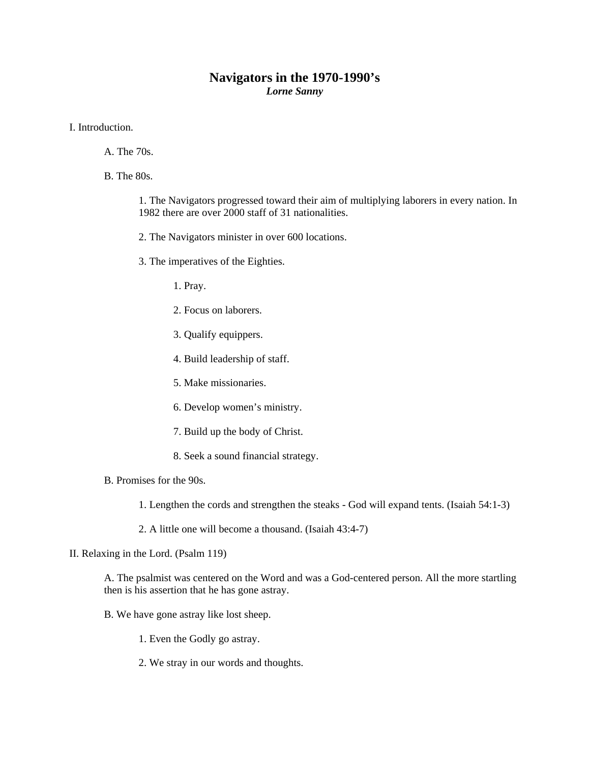## **Navigators in the 1970-1990's**  *Lorne Sanny*

I. Introduction.

- A. The 70s.
- B. The 80s.

1. The Navigators progressed toward their aim of multiplying laborers in every nation. In 1982 there are over 2000 staff of 31 nationalities.

- 2. The Navigators minister in over 600 locations.
- 3. The imperatives of the Eighties.
	- 1. Pray.
	- 2. Focus on laborers.
	- 3. Qualify equippers.
	- 4. Build leadership of staff.
	- 5. Make missionaries.
	- 6. Develop women's ministry.
	- 7. Build up the body of Christ.
	- 8. Seek a sound financial strategy.
- B. Promises for the 90s.
	- 1. Lengthen the cords and strengthen the steaks God will expand tents. (Isaiah 54:1-3)
	- 2. A little one will become a thousand. (Isaiah 43:4-7)
- II. Relaxing in the Lord. (Psalm 119)

A. The psalmist was centered on the Word and was a God-centered person. All the more startling then is his assertion that he has gone astray.

- B. We have gone astray like lost sheep.
	- 1. Even the Godly go astray.
	- 2. We stray in our words and thoughts.